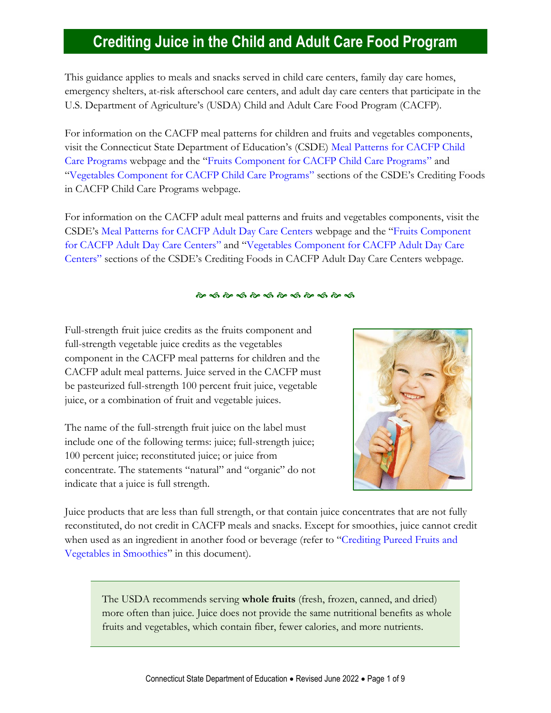# **Crediting Juice in the Child and Adult Care Food Program**

This guidance applies to meals and snacks served in child care centers, family day care homes, emergency shelters, at-risk afterschool care centers, and adult day care centers that participate in the U.S. Department of Agriculture's (USDA) Child and Adult Care Food Program (CACFP).

For information on the CACFP meal patterns for children and fruits and vegetables components, visit the Connecticut State Department of Education's (CSDE) [Meal Patterns for CACFP Child](https://portal.ct.gov/SDE/Nutrition/Meal-Patterns-CACFP-Child-Care-Programs)  [Care Programs](https://portal.ct.gov/SDE/Nutrition/Meal-Patterns-CACFP-Child-Care-Programs) webpage and the "[Fruits Component for CACFP Child Care Programs](https://portal.ct.gov/SDE/Nutrition/Crediting-Foods-in-CACFP-Child-Care-Programs/Documents#Fruits)" and "[Vegetables Component for CACFP Child Care Programs](https://portal.ct.gov/SDE/Nutrition/Crediting-Foods-in-CACFP-Child-Care-Programs/Documents#Vegetables)" sections of the CSDE's Crediting Foods in CACFP Child Care Programs webpage.

For information on the CACFP adult meal patterns and fruits and vegetables components, visit the CSDE's [Meal Patterns for CACFP Adult Day Care Centers](https://portal.ct.gov/SDE/Nutrition/Meal-Patterns-CACFP-Adult-Centers) webpage and the "[Fruits Component](https://portal.ct.gov/SDE/Nutrition/Crediting-Foods-in-CACFP-Adult-Day-Care-Centers/Documents#Fruits)  [for CACFP Adult Day Care Centers](https://portal.ct.gov/SDE/Nutrition/Crediting-Foods-in-CACFP-Adult-Day-Care-Centers/Documents#Fruits)" and "[Vegetables Component for CACFP Adult Day Care](https://portal.ct.gov/SDE/Nutrition/Crediting-Foods-in-CACFP-Adult-Day-Care-Centers/Documents#Vegetables)  [Centers](https://portal.ct.gov/SDE/Nutrition/Crediting-Foods-in-CACFP-Adult-Day-Care-Centers/Documents#Vegetables)" sections of the CSDE's Crediting Foods in CACFP Adult Day Care Centers webpage.

#### <u>స్థాన స్థాన స్థాన స్థాన స్థాన స్థాన</u>

Full-strength fruit juice credits as the fruits component and full-strength vegetable juice credits as the vegetables component in the CACFP meal patterns for children and the CACFP adult meal patterns. Juice served in the CACFP must be pasteurized full-strength 100 percent fruit juice, vegetable juice, or a combination of fruit and vegetable juices.

The name of the full-strength fruit juice on the label must include one of the following terms: juice; full-strength juice; 100 percent juice; reconstituted juice; or juice from concentrate. The statements "natural" and "organic" do not indicate that a juice is full strength.



Juice products that are less than full strength, or that contain juice concentrates that are not fully reconstituted, do not credit in CACFP meals and snacks. Except for smoothies, juice cannot credit when used as an ingredient in another food or beverage (refer to "[Crediting Pureed Fruits and](#page-2-0)  [Vegetables in Smoothies](#page-2-0)" in this document).

The USDA recommends serving **whole fruits** (fresh, frozen, canned, and dried) more often than juice. Juice does not provide the same nutritional benefits as whole fruits and vegetables, which contain fiber, fewer calories, and more nutrients.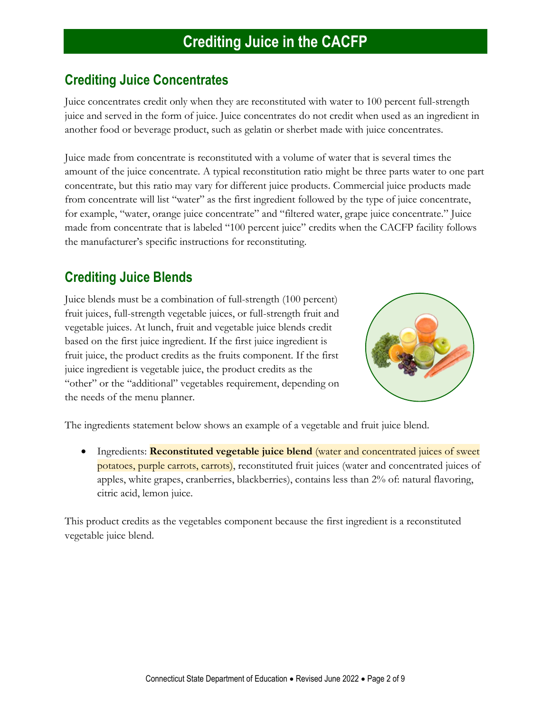#### **Crediting Juice Concentrates**

Juice concentrates credit only when they are reconstituted with water to 100 percent full-strength juice and served in the form of juice. Juice concentrates do not credit when used as an ingredient in another food or beverage product, such as gelatin or sherbet made with juice concentrates.

Juice made from concentrate is reconstituted with a volume of water that is several times the amount of the juice concentrate. A typical reconstitution ratio might be three parts water to one part concentrate, but this ratio may vary for different juice products. Commercial juice products made from concentrate will list "water" as the first ingredient followed by the type of juice concentrate, for example, "water, orange juice concentrate" and "filtered water, grape juice concentrate." Juice made from concentrate that is labeled "100 percent juice" credits when the CACFP facility follows the manufacturer's specific instructions for reconstituting.

### **Crediting Juice Blends**

Juice blends must be a combination of full-strength (100 percent) fruit juices, full-strength vegetable juices, or full-strength fruit and vegetable juices. At lunch, fruit and vegetable juice blends credit based on the first juice ingredient. If the first juice ingredient is fruit juice, the product credits as the fruits component. If the first juice ingredient is vegetable juice, the product credits as the "other" or the "additional" vegetables requirement, depending on the needs of the menu planner.



The ingredients statement below shows an example of a vegetable and fruit juice blend.

• Ingredients: **Reconstituted vegetable juice blend** (water and concentrated juices of sweet potatoes, purple carrots, carrots), reconstituted fruit juices (water and concentrated juices of apples, white grapes, cranberries, blackberries), contains less than 2% of: natural flavoring, citric acid, lemon juice.

<span id="page-1-0"></span>This product credits as the vegetables component because the first ingredient is a reconstituted vegetable juice blend.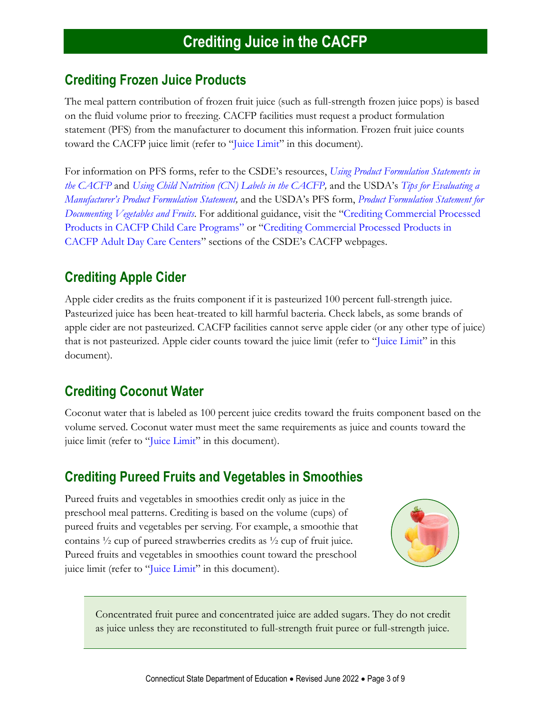#### **Crediting Frozen Juice Products**

The meal pattern contribution of frozen fruit juice (such as full-strength frozen juice pops) is based on the fluid volume prior to freezing. CACFP facilities must request a product formulation statement (PFS) from the manufacturer to document this information. Frozen fruit juice counts toward the CACFP juice limit (refer to "[Juice Limit](#page-4-0)" in this document).

For information on PFS forms, refer to the CSDE's resources, *[Using Product Formulation Statements in](http://portal.ct.gov/-/media/SDE/Nutrition/CACFP/Crediting/Using_Product_Formulation_Statements_CACFP.pdf)  [the CACFP](http://portal.ct.gov/-/media/SDE/Nutrition/CACFP/Crediting/Using_Product_Formulation_Statements_CACFP.pdf)* and *[Using Child Nutrition \(CN\) Labels in the CACFP,](https://portal.ct.gov/-/media/SDE/Nutrition/CACFP/Crediting/Using_CN_labels_CACFP.pdf)* and the USDA's *[Tips for Evaluating a](https://fns-prod.azureedge.net/sites/default/files/resource-files/manufacturerPFStipsheet.pdf)  [Manufacturer's Product Formulation Statem](https://fns-prod.azureedge.net/sites/default/files/resource-files/manufacturerPFStipsheet.pdf)ent,* and the USDA's PFS form, *[Product Formulation Statement for](https://fns-prod.azureedge.net/sites/default/files/resource-files/PFS_Document_Total_Veg_Fruits.pdf)  [Documenting Vegetables and Fruits](https://fns-prod.azureedge.net/sites/default/files/resource-files/PFS_Document_Total_Veg_Fruits.pdf)*. For additional guidance, visit the "[Crediting Commercial Processed](https://portal.ct.gov/SDE/Nutrition/Crediting-Foods-in-CACFP-Child-Care-Programs/Documents#CommercialProducts)  [Products in CACFP Child Care Programs](https://portal.ct.gov/SDE/Nutrition/Crediting-Foods-in-CACFP-Child-Care-Programs/Documents#CommercialProducts)" or "[Crediting Commercial Processed Products in](https://portal.ct.gov/SDE/Nutrition/Crediting-Foods-in-CACFP-Adult-Day-Care-Centers/Documents#CommercialProducts)  [CACFP Adult Day Care Centers](https://portal.ct.gov/SDE/Nutrition/Crediting-Foods-in-CACFP-Adult-Day-Care-Centers/Documents#CommercialProducts)" sections of the CSDE's CACFP webpages.

### **Crediting Apple Cider**

Apple cider credits as the fruits component if it is pasteurized 100 percent full-strength juice. Pasteurized juice has been heat-treated to kill harmful bacteria. Check labels, as some brands of apple cider are not pasteurized. CACFP facilities cannot serve apple cider (or any other type of juice) that is not pasteurized. Apple cider counts toward the juice limit (refer to "[Juice Limit](#page-4-0)" in this document).

### **Crediting Coconut Water**

Coconut water that is labeled as 100 percent juice credits toward the fruits component based on the volume served. Coconut water must meet the same requirements as juice and counts toward the juice limit (refer to "[Juice Limit](#page-4-0)" in this document).

#### <span id="page-2-0"></span>**Crediting Pureed Fruits and Vegetables in Smoothies**

Pureed fruits and vegetables in smoothies credit only as juice in the preschool meal patterns. Crediting is based on the volume (cups) of pureed fruits and vegetables per serving. For example, a smoothie that contains  $\frac{1}{2}$  cup of pureed strawberries credits as  $\frac{1}{2}$  cup of fruit juice. Pureed fruits and vegetables in smoothies count toward the preschool juice limit (refer to "[Juice Limit](#page-4-0)" in this document).



Concentrated fruit puree and concentrated juice are added sugars. They do not credit as juice unless they are reconstituted to full-strength fruit puree or full-strength juice.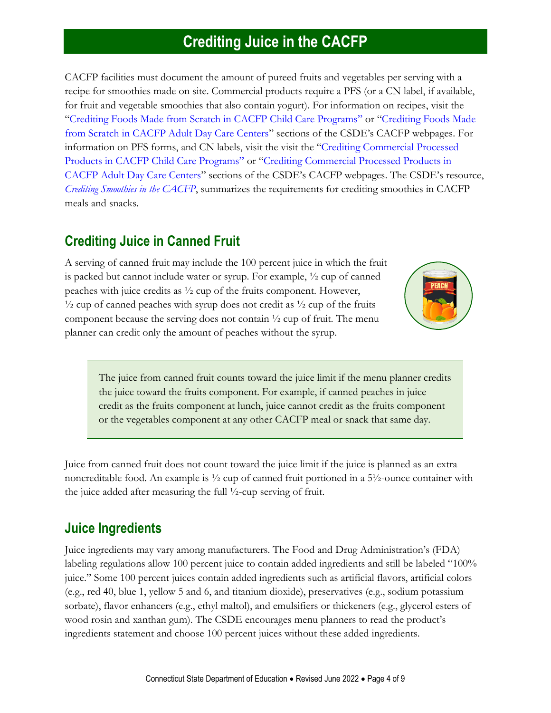CACFP facilities must document the amount of pureed fruits and vegetables per serving with a recipe for smoothies made on site. Commercial products require a PFS (or a CN label, if available, for fruit and vegetable smoothies that also contain yogurt). For information on recipes, visit the "[Crediting Foods Made from Scratch in CACFP Child Care Programs](https://portal.ct.gov/SDE/Nutrition/Crediting-Foods-in-CACFP-Child-Care-Programs/Documents#ScratchFoods)" or "[Crediting Foods Made](https://portal.ct.gov/SDE/Nutrition/Crediting-Foods-in-CACFP-Adult-Day-Care-Centers/Documents#ScratchFoods)  [from Scratch in CACFP Adult Day Care Centers](https://portal.ct.gov/SDE/Nutrition/Crediting-Foods-in-CACFP-Adult-Day-Care-Centers/Documents#ScratchFoods)" sections of the CSDE's CACFP webpages. For information on PFS forms, and CN labels, visit the visit the "[Crediting Commercial Processed](https://portal.ct.gov/SDE/Nutrition/Crediting-Foods-in-CACFP-Child-Care-Programs/Documents#CommercialProducts)  [Products in CACFP Child Care Programs](https://portal.ct.gov/SDE/Nutrition/Crediting-Foods-in-CACFP-Child-Care-Programs/Documents#CommercialProducts)" or "[Crediting Commercial Processed Products in](https://portal.ct.gov/SDE/Nutrition/Crediting-Foods-in-CACFP-Adult-Day-Care-Centers/Documents#CommercialProducts)  [CACFP Adult Day Care Centers](https://portal.ct.gov/SDE/Nutrition/Crediting-Foods-in-CACFP-Adult-Day-Care-Centers/Documents#CommercialProducts)" sections of the CSDE's CACFP webpages. The CSDE's resource, *[Crediting Smoothies in the CACFP](https://portal.ct.gov/-/media/SDE/Nutrition/CACFP/Crediting/Credit_Smoothies_CACFP.pdf)*, summarizes the requirements for crediting smoothies in CACFP meals and snacks.

#### <span id="page-3-0"></span>**Crediting Juice in Canned Fruit**

A serving of canned fruit may include the 100 percent juice in which the fruit is packed but cannot include water or syrup. For example, ½ cup of canned peaches with juice credits as ½ cup of the fruits component. However,  $\frac{1}{2}$  cup of canned peaches with syrup does not credit as  $\frac{1}{2}$  cup of the fruits component because the serving does not contain ½ cup of fruit. The menu planner can credit only the amount of peaches without the syrup.



The juice from canned fruit counts toward the juice limit if the menu planner credits the juice toward the fruits component. For example, if canned peaches in juice credit as the fruits component at lunch, juice cannot credit as the fruits component or the vegetables component at any other CACFP meal or snack that same day.

Juice from canned fruit does not count toward the juice limit if the juice is planned as an extra noncreditable food. An example is ½ cup of canned fruit portioned in a 5½-ounce container with the juice added after measuring the full ½-cup serving of fruit.

#### **Juice Ingredients**

Juice ingredients may vary among manufacturers. The Food and Drug Administration's (FDA) labeling regulations allow 100 percent juice to contain added ingredients and still be labeled "100% juice." Some 100 percent juices contain added ingredients such as artificial flavors, artificial colors (e.g., red 40, blue 1, yellow 5 and 6, and titanium dioxide), preservatives (e.g., sodium potassium sorbate), flavor enhancers (e.g., ethyl maltol), and emulsifiers or thickeners (e.g., glycerol esters of wood rosin and xanthan gum). The CSDE encourages menu planners to read the product's ingredients statement and choose 100 percent juices without these added ingredients.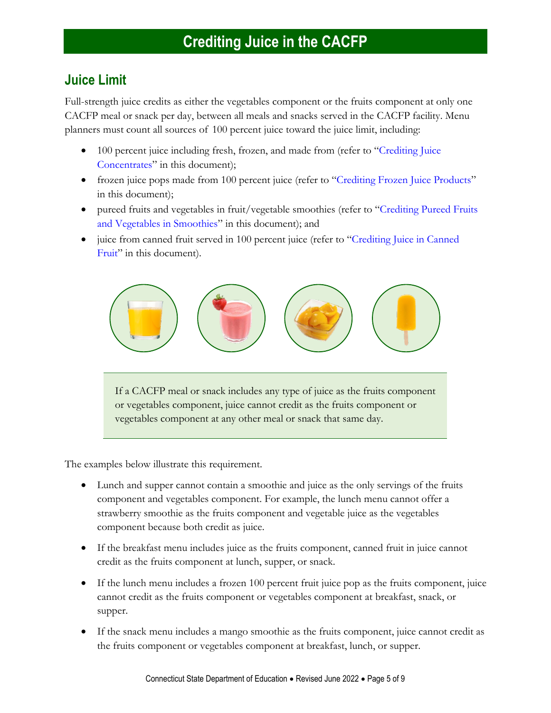#### <span id="page-4-0"></span>**Juice Limit**

Full-strength juice credits as either the vegetables component or the fruits component at only one CACFP meal or snack per day, between all meals and snacks served in the CACFP facility. Menu planners must count all sources of 100 percent juice toward the juice limit, including:

- 100 percent juice including fresh, frozen, and made from (refer to "Crediting Juice" Concentrates" in this document);
- frozen juice pops made from 100 percent juice (refer to "[Crediting Frozen Juice Products](#page-1-0)" in this document);
- pureed fruits and vegetables in fruit/vegetable smoothies (refer to "Crediting Pureed Fruits [and Vegetables in Smoothies](#page-2-0)" in this document); and
- juice from canned fruit served in 100 percent juice (refer to "Crediting Juice in Canned [Fruit](#page-3-0)" in this document).



If a CACFP meal or snack includes any type of juice as the fruits component or vegetables component, juice cannot credit as the fruits component or vegetables component at any other meal or snack that same day.

The examples below illustrate this requirement.

- Lunch and supper cannot contain a smoothie and juice as the only servings of the fruits component and vegetables component. For example, the lunch menu cannot offer a strawberry smoothie as the fruits component and vegetable juice as the vegetables component because both credit as juice.
- If the breakfast menu includes juice as the fruits component, canned fruit in juice cannot credit as the fruits component at lunch, supper, or snack.
- If the lunch menu includes a frozen 100 percent fruit juice pop as the fruits component, juice cannot credit as the fruits component or vegetables component at breakfast, snack, or supper.
- If the snack menu includes a mango smoothie as the fruits component, juice cannot credit as the fruits component or vegetables component at breakfast, lunch, or supper.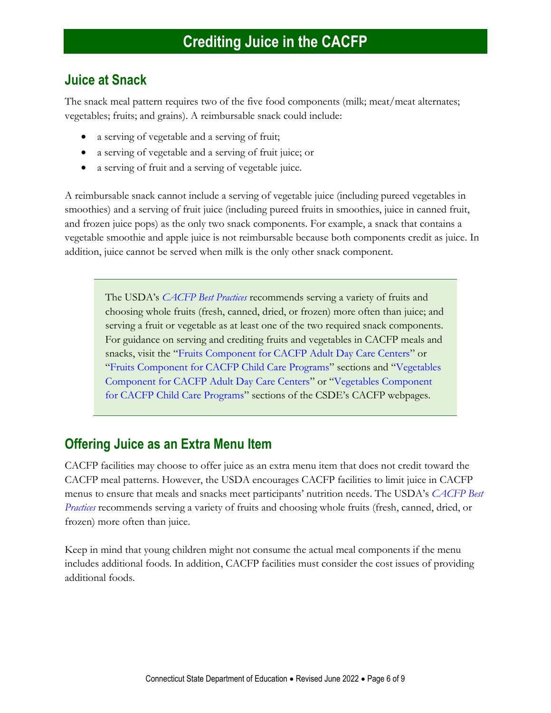#### **Juice at Snack**

The snack meal pattern requires two of the five food components (milk; meat/meat alternates; vegetables; fruits; and grains). A reimbursable snack could include:

- a serving of vegetable and a serving of fruit;
- a serving of vegetable and a serving of fruit juice; or
- a serving of fruit and a serving of vegetable juice.

A reimbursable snack cannot include a serving of vegetable juice (including pureed vegetables in smoothies) and a serving of fruit juice (including pureed fruits in smoothies, juice in canned fruit, and frozen juice pops) as the only two snack components. For example, a snack that contains a vegetable smoothie and apple juice is not reimbursable because both components credit as juice. In addition, juice cannot be served when milk is the only other snack component.

The USDA's *[CACFP Best Practices](https://fns-prod.azureedge.us/sites/default/files/cacfp/CACFP_factBP.pdf)* recommends serving a variety of fruits and choosing whole fruits (fresh, canned, dried, or frozen) more often than juice; and serving a fruit or vegetable as at least one of the two required snack components. For guidance on serving and crediting fruits and vegetables in CACFP meals and snacks, visit the "[Fruits Component for CACFP Adult Day Care Centers](https://portal.ct.gov/SDE/Nutrition/Crediting-Foods-in-CACFP-Adult-Day-Care-Centers/Documents#Fruits)" or "[Fruits Component for CACFP Child Care Programs](https://portal.ct.gov/SDE/Nutrition/Crediting-Foods-in-CACFP-Child-Care-Programs/Documents#Fruits)" sections and "[Vegetables](https://portal.ct.gov/SDE/Nutrition/Crediting-Foods-in-CACFP-Adult-Day-Care-Centers/Documents#Vegetables)  [Component for CACFP Adult Day Care Centers](https://portal.ct.gov/SDE/Nutrition/Crediting-Foods-in-CACFP-Adult-Day-Care-Centers/Documents#Vegetables)" or "[Vegetables Component](https://portal.ct.gov/SDE/Nutrition/Crediting-Foods-in-CACFP-Child-Care-Programs/Documents#Vegetables)  [for CACFP Child Care Programs](https://portal.ct.gov/SDE/Nutrition/Crediting-Foods-in-CACFP-Child-Care-Programs/Documents#Vegetables)" sections of the CSDE's CACFP webpages.

#### **Offering Juice as an Extra Menu Item**

CACFP facilities may choose to offer juice as an extra menu item that does not credit toward the CACFP meal patterns. However, the USDA encourages CACFP facilities to limit juice in CACFP menus to ensure that meals and snacks meet participants' nutrition needs. The USDA's *[CACFP Best](https://fns-prod.azureedge.net/sites/default/files/cacfp/CACFP_factBP.pdf)  [Practices](https://fns-prod.azureedge.net/sites/default/files/cacfp/CACFP_factBP.pdf)* recommends serving a variety of fruits and choosing whole fruits (fresh, canned, dried, or frozen) more often than juice.

Keep in mind that young children might not consume the actual meal components if the menu includes additional foods. In addition, CACFP facilities must consider the cost issues of providing additional foods.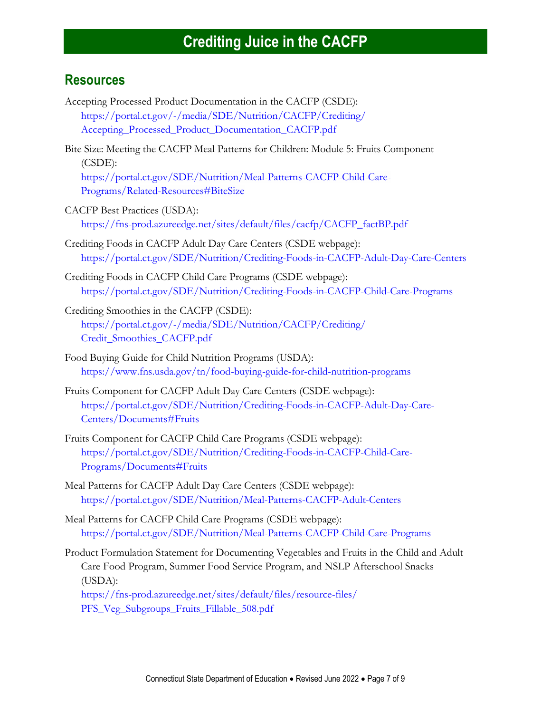#### **Resources**

- Accepting Processed Product Documentation in the CACFP (CSDE): [https://portal.ct.gov/-/media/SDE/Nutrition/CACFP/Crediting/](https://portal.ct.gov/-/media/SDE/Nutrition/CACFP/Crediting/Accepting_Processed_Product_Documentation_CACFP.pdf) [Accepting\\_Processed\\_Product\\_Documentation\\_CACFP.pdf](https://portal.ct.gov/-/media/SDE/Nutrition/CACFP/Crediting/Accepting_Processed_Product_Documentation_CACFP.pdf)
- Bite Size: Meeting the CACFP Meal Patterns for Children: Module 5: Fruits Component (CSDE): [https://portal.ct.gov/SDE/Nutrition/Meal-Patterns-CACFP-Child-Care-](https://portal.ct.gov/SDE/Nutrition/Meal-Patterns-CACFP-Child-Care-Programs/Related-Resources#BiteSize)[Programs/Related-Resources#BiteSize](https://portal.ct.gov/SDE/Nutrition/Meal-Patterns-CACFP-Child-Care-Programs/Related-Resources#BiteSize)
- CACFP Best Practices (USDA): [https://fns-prod.azureedge.net/sites/default/files/cacfp/CACFP\\_factBP.pdf](https://fns-prod.azureedge.net/sites/default/files/cacfp/CACFP_factBP.pdf)
- Crediting Foods in CACFP Adult Day Care Centers (CSDE webpage): [https://portal.ct.gov/SDE/Nutrition/Crediting-Foods-in-CACFP-Adult-Day-Care-Centers](http://portal.ct.gov/SDE/Nutrition/Crediting-Foods-in-CACFP-Adult-Day-Care-Centers)
- Crediting Foods in CACFP Child Care Programs (CSDE webpage): [https://portal.ct.gov/SDE/Nutrition/Crediting-Foods-in-CACFP-Child-Care-Programs](http://portal.ct.gov/SDE/Nutrition/Crediting-Foods-in-CACFP-Child-Care-Programs)
- Crediting Smoothies in the CACFP (CSDE): [https://portal.ct.gov/-/media/SDE/Nutrition/CACFP/Crediting/](https://portal.ct.gov/-/media/SDE/Nutrition/CACFP/Crediting/‌Credit_Smoothies_CACFP.pdf) [Credit\\_Smoothies\\_CACFP.pdf](https://portal.ct.gov/-/media/SDE/Nutrition/CACFP/Crediting/‌Credit_Smoothies_CACFP.pdf)
- Food Buying Guide for Child Nutrition Programs (USDA): <https://www.fns.usda.gov/tn/food-buying-guide-for-child-nutrition-programs>
- Fruits Component for CACFP Adult Day Care Centers (CSDE webpage): [https://portal.ct.gov/SDE/Nutrition/Crediting-Foods-in-CACFP-Adult-Day-Care-](https://portal.ct.gov/SDE/Nutrition/Crediting-Foods-in-CACFP-Adult-Day-Care-Centers/Documents#Fruits)[Centers/Documents#Fruits](https://portal.ct.gov/SDE/Nutrition/Crediting-Foods-in-CACFP-Adult-Day-Care-Centers/Documents#Fruits)
- Fruits Component for CACFP Child Care Programs (CSDE webpage): [https://portal.ct.gov/SDE/Nutrition/Crediting-Foods-in-CACFP-Child-Care-](https://portal.ct.gov/SDE/Nutrition/Crediting-Foods-in-CACFP-Child-Care-Programs/Documents#Fruits)[Programs/Documents#Fruits](https://portal.ct.gov/SDE/Nutrition/Crediting-Foods-in-CACFP-Child-Care-Programs/Documents#Fruits)
- Meal Patterns for CACFP Adult Day Care Centers (CSDE webpage): [https://portal.ct.gov/SDE/Nutrition/Meal-Patterns-CACFP-Adult-Centers](http://portal.ct.gov/SDE/Nutrition/Meal-Patterns-CACFP-Adult-Centers)
- Meal Patterns for CACFP Child Care Programs (CSDE webpage): [https://portal.ct.gov/SDE/Nutrition/Meal-Patterns-CACFP-Child-Care-Programs](http://portal.ct.gov/SDE/Nutrition/Meal-Patterns-CACFP-Child-Care-Programs)
- Product Formulation Statement for Documenting Vegetables and Fruits in the Child and Adult Care Food Program, Summer Food Service Program, and NSLP Afterschool Snacks (USDA):

[https://fns-prod.azureedge.net/sites/default/files/resource-files/](https://fns-prod.azureedge.net/sites/default/files/resource-files/PFS_Veg_Subgroups_Fruits_Fillable_508.pdf) [PFS\\_Veg\\_Subgroups\\_Fruits\\_Fillable\\_508.pdf](https://fns-prod.azureedge.net/sites/default/files/resource-files/PFS_Veg_Subgroups_Fruits_Fillable_508.pdf)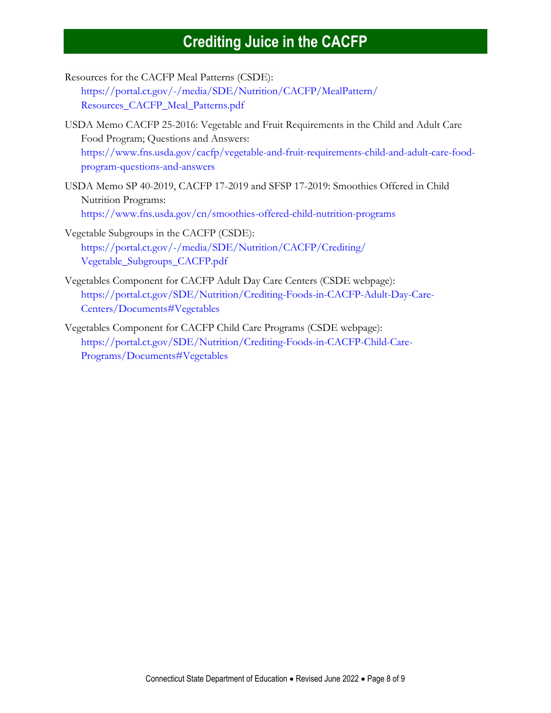- Resources for the CACFP Meal Patterns (CSDE): [https://portal.ct.gov/-/media/SDE/Nutrition/CACFP/MealPattern/](https://portal.ct.gov/-/media/SDE/Nutrition/CACFP/MealPattern/Resources_CACFP_Meal_Patterns.pdf) [Resources\\_CACFP\\_Meal\\_Patterns.pdf](https://portal.ct.gov/-/media/SDE/Nutrition/CACFP/MealPattern/Resources_CACFP_Meal_Patterns.pdf)
- USDA Memo CACFP 25-2016: Vegetable and Fruit Requirements in the Child and Adult Care Food Program; Questions and Answers: [https://www.fns.usda.gov/cacfp/vegetable-and-fruit-requirements-child-and-adult-care-food](https://www.fns.usda.gov/cacfp/vegetable-and-fruit-requirements-child-and-adult-care-food-program-questions-and-answers)[program-questions-and-answers](https://www.fns.usda.gov/cacfp/vegetable-and-fruit-requirements-child-and-adult-care-food-program-questions-and-answers)
- USDA Memo SP 40-2019, CACFP 17-2019 and SFSP 17-2019: Smoothies Offered in Child Nutrition Programs: <https://www.fns.usda.gov/cn/smoothies-offered-child-nutrition-programs>
- Vegetable Subgroups in the CACFP (CSDE): [https://portal.ct.gov/-/media/SDE/Nutrition/CACFP/Crediting/](https://portal.ct.gov/-/media/SDE/Nutrition/CACFP/Crediting/Vegetable_Subgroups_CACFP.pdf) [Vegetable\\_Subgroups\\_CACFP.pdf](https://portal.ct.gov/-/media/SDE/Nutrition/CACFP/Crediting/Vegetable_Subgroups_CACFP.pdf)
- Vegetables Component for CACFP Adult Day Care Centers (CSDE webpage): [https://portal.ct.gov/SDE/Nutrition/Crediting-Foods-in-CACFP-Adult-Day-Care-](https://portal.ct.gov/SDE/Nutrition/Crediting-Foods-in-CACFP-Adult-Day-Care-Centers/Documents#Vegetables)[Centers/Documents#Vegetables](https://portal.ct.gov/SDE/Nutrition/Crediting-Foods-in-CACFP-Adult-Day-Care-Centers/Documents#Vegetables)
- Vegetables Component for CACFP Child Care Programs (CSDE webpage): [https://portal.ct.gov/SDE/Nutrition/Crediting-Foods-in-CACFP-Child-Care-](https://portal.ct.gov/SDE/Nutrition/Crediting-Foods-in-CACFP-Child-Care-Programs/Documents#Vegetables)[Programs/Documents#Vegetables](https://portal.ct.gov/SDE/Nutrition/Crediting-Foods-in-CACFP-Child-Care-Programs/Documents#Vegetables)